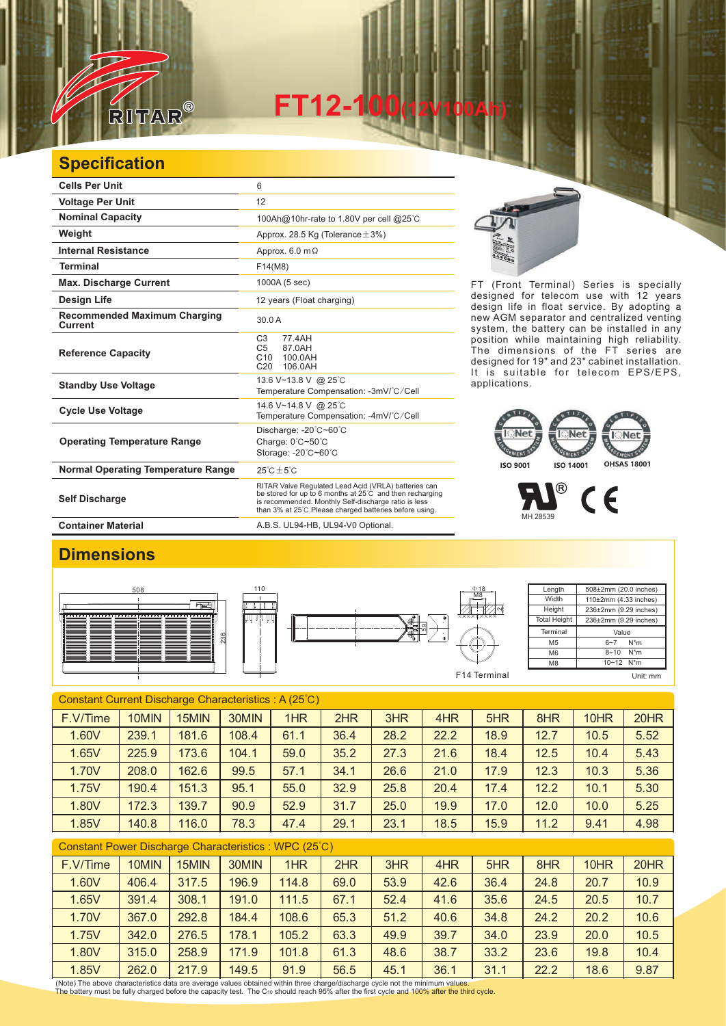

**FT12-100(12V100Ah)** 

## **Specification**

| <b>Cells Per Unit</b>                          | 6                                                                                                                                                                                                                                   |
|------------------------------------------------|-------------------------------------------------------------------------------------------------------------------------------------------------------------------------------------------------------------------------------------|
| <b>Voltage Per Unit</b>                        | 12                                                                                                                                                                                                                                  |
| <b>Nominal Capacity</b>                        | 100Ah@10hr-rate to 1.80V per cell @25°C                                                                                                                                                                                             |
| Weight                                         | Approx. 28.5 Kg (Tolerance $\pm$ 3%)                                                                                                                                                                                                |
| <b>Internal Resistance</b>                     | Approx. $6.0 \text{ m}\Omega$                                                                                                                                                                                                       |
| <b>Terminal</b>                                | F14(M8)                                                                                                                                                                                                                             |
| <b>Max. Discharge Current</b>                  | 1000A (5 sec)                                                                                                                                                                                                                       |
| <b>Design Life</b>                             | 12 years (Float charging)                                                                                                                                                                                                           |
| <b>Recommended Maximum Charging</b><br>Current | 30.0 A                                                                                                                                                                                                                              |
| <b>Reference Capacity</b>                      | C <sub>3</sub><br>77.4AH<br>C <sub>5</sub><br>87.0AH<br>C10<br>100.0AH<br>C <sub>20</sub><br>106.0AH                                                                                                                                |
| <b>Standby Use Voltage</b>                     | 13.6 V~13.8 V @ 25°C<br>Temperature Compensation: -3mV/°C/Cell                                                                                                                                                                      |
| <b>Cycle Use Voltage</b>                       | 14.6 V~14.8 V @ 25°C<br>Temperature Compensation: -4mV/°C/Cell                                                                                                                                                                      |
| <b>Operating Temperature Range</b>             | Discharge: -20°C~60°C<br>Charge: 0°C~50°C<br>Storage: -20°C~60°C                                                                                                                                                                    |
| <b>Normal Operating Temperature Range</b>      | $25^{\circ}$ C + 5 $^{\circ}$ C                                                                                                                                                                                                     |
| <b>Self Discharge</b>                          | RITAR Valve Regulated Lead Acid (VRLA) batteries can<br>be stored for up to 6 months at 25°C and then recharging<br>is recommended. Monthly Self-discharge ratio is less<br>than 3% at 25°C. Please charged batteries before using. |
| <b>Container Material</b>                      | A.B.S. UL94-HB, UL94-V0 Optional.                                                                                                                                                                                                   |



FT (Front Terminal) Series is specially designed for telecom use with 12 years design life in float service. By adopting a new AGM separator and centralized venting system, the battery can be installed in any position while maintaining high reliability. The dimensions of the FT series are designed for 19" and 23" cabinet installation. It is suitable for telecom EPS/EPS, applications.

## Net **AFC NT** THEFT ENTENT **ISO 9001 ISO 14001 OHSAS 18001**

 $^{\circledR}$  $\epsilon$ MH 28539

 $\sim$ 

M8

## **Dimensions**







| Constant Current Discharge Characteristics: A (25°C)  |       |       |       |      |      |      |      |      |      |      |      |
|-------------------------------------------------------|-------|-------|-------|------|------|------|------|------|------|------|------|
| F.V/Time                                              | 10MIN | 15MIN | 30MIN | 1HR  | 2HR  | 3HR  | 4HR  | 5HR  | 8HR  | 10HR | 20HR |
| 1.60V                                                 | 239.1 | 181.6 | 108.4 | 61.1 | 36.4 | 28.2 | 22.2 | 18.9 | 12.7 | 10.5 | 5.52 |
| 1.65V                                                 | 225.9 | 173.6 | 104.1 | 59.0 | 35.2 | 27.3 | 21.6 | 18.4 | 12.5 | 10.4 | 5.43 |
| 1.70V                                                 | 208.0 | 162.6 | 99.5  | 57.1 | 34.1 | 26.6 | 21.0 | 17.9 | 12.3 | 10.3 | 5.36 |
| 1.75V                                                 | 190.4 | 151.3 | 95.1  | 55.0 | 32.9 | 25.8 | 20.4 | 17.4 | 12.2 | 10.1 | 5.30 |
| 1.80V                                                 | 172.3 | 139.7 | 90.9  | 52.9 | 31.7 | 25.0 | 19.9 | 17.0 | 12.0 | 10.0 | 5.25 |
| 1.85V                                                 | 140.8 | 116.0 | 78.3  | 47.4 | 29.1 | 23.1 | 18.5 | 15.9 | 11.2 | 9.41 | 4.98 |
| Constant Power Discharge Characteristics : WPC (25°C) |       |       |       |      |      |      |      |      |      |      |      |

| F.V/Time | 10MIN | 15MIN | 30MIN | 1HR   | 2HR  | 3HR  | 4HR  | 5HR  | 8HR  | 10HR | 20HR |
|----------|-------|-------|-------|-------|------|------|------|------|------|------|------|
| 1.60V    | 406.4 | 317.5 | 196.9 | 114.8 | 69.0 | 53.9 | 42.6 | 36.4 | 24.8 | 20.7 | 10.9 |
| 1.65V    | 391.4 | 308.1 | 191.0 | 111.5 | 67.1 | 52.4 | 41.6 | 35.6 | 24.5 | 20.5 | 10.7 |
| 1.70V    | 367.0 | 292.8 | 184.4 | 108.6 | 65.3 | 51.2 | 40.6 | 34.8 | 24.2 | 20.2 | 10.6 |
| 1.75V    | 342.0 | 276.5 | 178.1 | 105.2 | 63.3 | 49.9 | 39.7 | 34.0 | 23.9 | 20.0 | 10.5 |
| 1.80V    | 315.0 | 258.9 | 171.9 | 101.8 | 61.3 | 48.6 | 38.7 | 33.2 | 23.6 | 19.8 | 10.4 |
| 1.85V    | 262.0 | 217.9 | 149.5 | 91.9  | 56.5 | 45.1 | 36.1 | 31.1 | 22.2 | 18.6 | 9.87 |

(Note) The above characteristics data are average values obtained within three charge/discharge cycle not the minimum values.<br>The battery must be fully charged before the capacity test. The Cю should reach 95% after the f